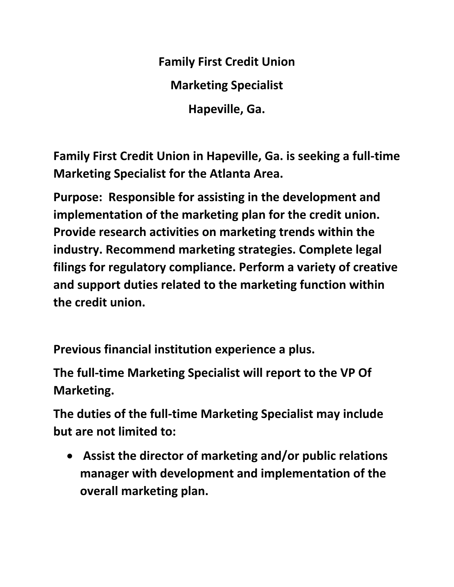**Family First Credit Union Marketing Specialist Hapeville, Ga.** 

**Family First Credit Union in Hapeville, Ga. is seeking a full-time Marketing Specialist for the Atlanta Area.**

**Purpose: Responsible for assisting in the development and implementation of the marketing plan for the credit union. Provide research activities on marketing trends within the industry. Recommend marketing strategies. Complete legal filings for regulatory compliance. Perform a variety of creative and support duties related to the marketing function within the credit union.**

**Previous financial institution experience a plus.** 

**The full-time Marketing Specialist will report to the VP Of Marketing.** 

**The duties of the full-time Marketing Specialist may include but are not limited to:** 

• **Assist the director of marketing and/or public relations manager with development and implementation of the overall marketing plan.**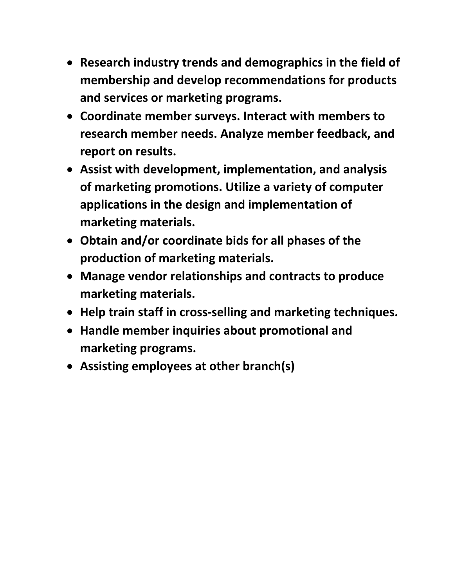- **Research industry trends and demographics in the field of membership and develop recommendations for products and services or marketing programs.**
- **Coordinate member surveys. Interact with members to research member needs. Analyze member feedback, and report on results.**
- **Assist with development, implementation, and analysis of marketing promotions. Utilize a variety of computer applications in the design and implementation of marketing materials.**
- **Obtain and/or coordinate bids for all phases of the production of marketing materials.**
- **Manage vendor relationships and contracts to produce marketing materials.**
- **Help train staff in cross‐selling and marketing techniques.**
- **Handle member inquiries about promotional and marketing programs.**
- **Assisting employees at other branch(s)**